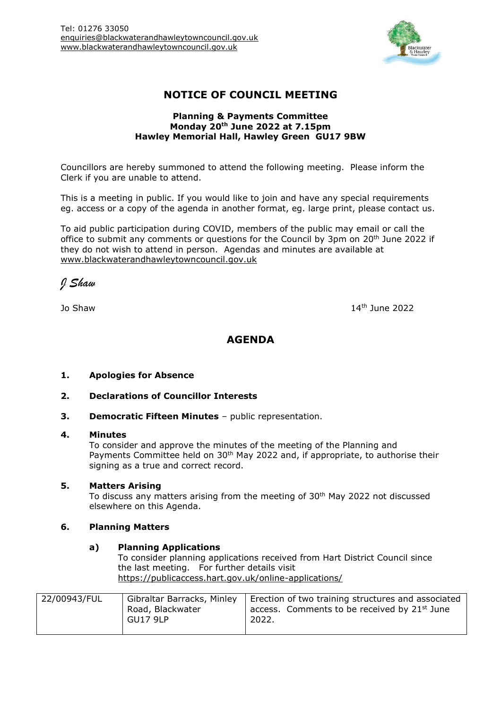

# **NOTICE OF COUNCIL MEETING**

#### **Planning & Payments Committee Monday 20th June 2022 at 7.15pm Hawley Memorial Hall, Hawley Green GU17 9BW**

Councillors are hereby summoned to attend the following meeting. Please inform the Clerk if you are unable to attend.

This is a meeting in public. If you would like to join and have any special requirements eg. access or a copy of the agenda in another format, eg. large print, please contact us.

To aid public participation during COVID, members of the public may email or call the office to submit any comments or questions for the Council by 3pm on 20<sup>th</sup> June 2022 if they do not wish to attend in person. Agendas and minutes are available at [www.blackwaterandhawleytowncouncil.gov.uk](http://www.blackwaterandhawleytowncouncil.gov.uk/)

*J Shaw*

Jo Shaw 14th June 2022

# **AGENDA**

# **1. Apologies for Absence**

- **2. Declarations of Councillor Interests**
- **3. Democratic Fifteen Minutes** public representation.

#### **4. Minutes**

To consider and approve the minutes of the meeting of the Planning and Payments Committee held on 30<sup>th</sup> May 2022 and, if appropriate, to authorise their signing as a true and correct record.

# **5. Matters Arising**

To discuss any matters arising from the meeting of 30<sup>th</sup> May 2022 not discussed elsewhere on this Agenda.

#### **6. Planning Matters**

#### **a) Planning Applications**

To consider planning applications received from Hart District Council since the last meeting. For further details visit <https://publicaccess.hart.gov.uk/online-applications/>

| 22/00943/FUL | Gibraltar Barracks, Minley<br>Road, Blackwater<br>GU17 9LP | Erection of two training structures and associated<br>access. Comments to be received by 21 <sup>st</sup> June<br>2022. |
|--------------|------------------------------------------------------------|-------------------------------------------------------------------------------------------------------------------------|
|              |                                                            |                                                                                                                         |